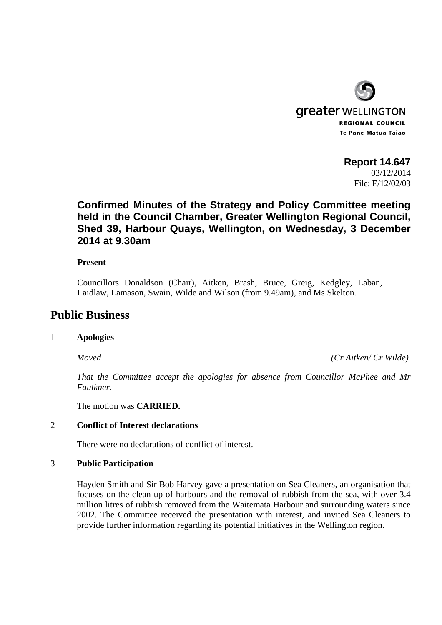

# **Report 14.647**

03/12/2014 File: E/12/02/03

# **Confirmed Minutes of the Strategy and Policy Committee meeting held in the Council Chamber, Greater Wellington Regional Council, Shed 39, Harbour Quays, Wellington, on Wednesday, 3 December 2014 at 9.30am**

#### **Present**

Councillors Donaldson (Chair), Aitken, Brash, Bruce, Greig, Kedgley, Laban, Laidlaw, Lamason, Swain, Wilde and Wilson (from 9.49am), and Ms Skelton*.*

## **Public Business**

### 1 **Apologies**

*Moved (Cr Aitken/ Cr Wilde)* 

*That the Committee accept the apologies for absence from Councillor McPhee and Mr Faulkner.* 

The motion was **CARRIED.** 

#### 2 **Conflict of Interest declarations**

There were no declarations of conflict of interest.

#### 3 **Public Participation**

Hayden Smith and Sir Bob Harvey gave a presentation on Sea Cleaners, an organisation that focuses on the clean up of harbours and the removal of rubbish from the sea, with over 3.4 million litres of rubbish removed from the Waitemata Harbour and surrounding waters since 2002. The Committee received the presentation with interest, and invited Sea Cleaners to provide further information regarding its potential initiatives in the Wellington region.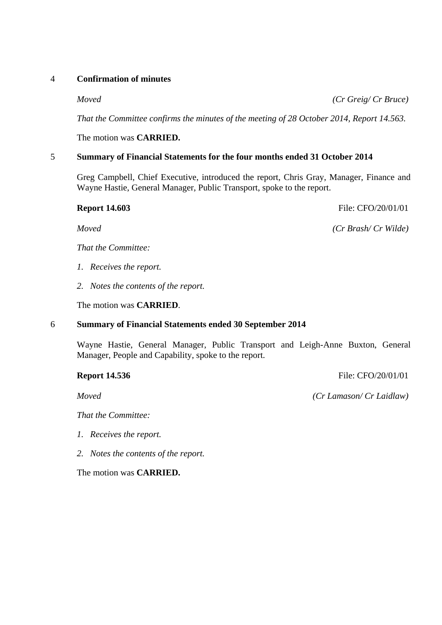#### 4 **Confirmation of minutes**

*Moved (Cr Greig/ Cr Bruce)* 

*That the Committee confirms the minutes of the meeting of 28 October 2014, Report 14.563.* 

The motion was **CARRIED.** 

#### 5 **Summary of Financial Statements for the four months ended 31 October 2014**

Greg Campbell, Chief Executive, introduced the report, Chris Gray, Manager, Finance and Wayne Hastie, General Manager, Public Transport, spoke to the report.

**Report 14.603** File: CFO/20/01/01

*Moved (Cr Brash/ Cr Wilde)* 

*That the Committee:* 

- *1. Receives the report.*
- *2. Notes the contents of the report.*

The motion was **CARRIED**.

#### 6 **Summary of Financial Statements ended 30 September 2014**

Wayne Hastie, General Manager, Public Transport and Leigh-Anne Buxton, General Manager, People and Capability, spoke to the report.

### **Report 14.536 File: CFO/20/01/01**

*Moved (Cr Lamason/ Cr Laidlaw)* 

*That the Committee:* 

- *1. Receives the report.*
- *2. Notes the contents of the report.*

The motion was **CARRIED.**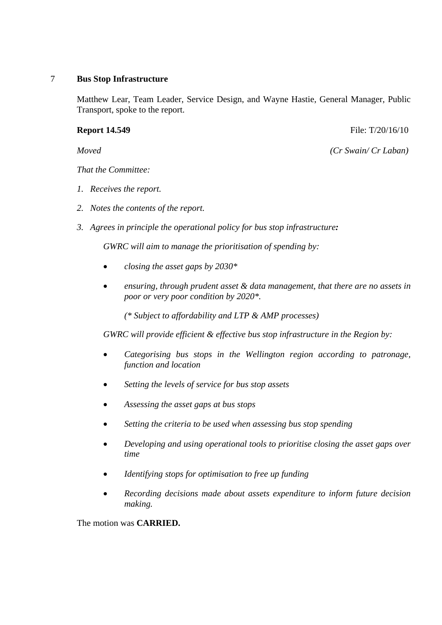#### 7 **Bus Stop Infrastructure**

Matthew Lear, Team Leader, Service Design, and Wayne Hastie, General Manager, Public Transport, spoke to the report.

#### **Report 14.549 File: T**/20/16/10

*Moved (Cr Swain/ Cr Laban)* 

*That the Committee:* 

- *1. Receives the report.*
- *2. Notes the contents of the report.*
- *3. Agrees in principle the operational policy for bus stop infrastructure:*

*GWRC will aim to manage the prioritisation of spending by:* 

- *closing the asset gaps by 2030\**
- *ensuring, through prudent asset & data management, that there are no assets in poor or very poor condition by 2020\*.*

*(\* Subject to affordability and LTP & AMP processes)* 

*GWRC will provide efficient & effective bus stop infrastructure in the Region by:* 

- *Categorising bus stops in the Wellington region according to patronage, function and location*
- *Setting the levels of service for bus stop assets*
- *Assessing the asset gaps at bus stops*
- *Setting the criteria to be used when assessing bus stop spending*
- *Developing and using operational tools to prioritise closing the asset gaps over time*
- *Identifying stops for optimisation to free up funding*
- *Recording decisions made about assets expenditure to inform future decision making.*

The motion was **CARRIED.**